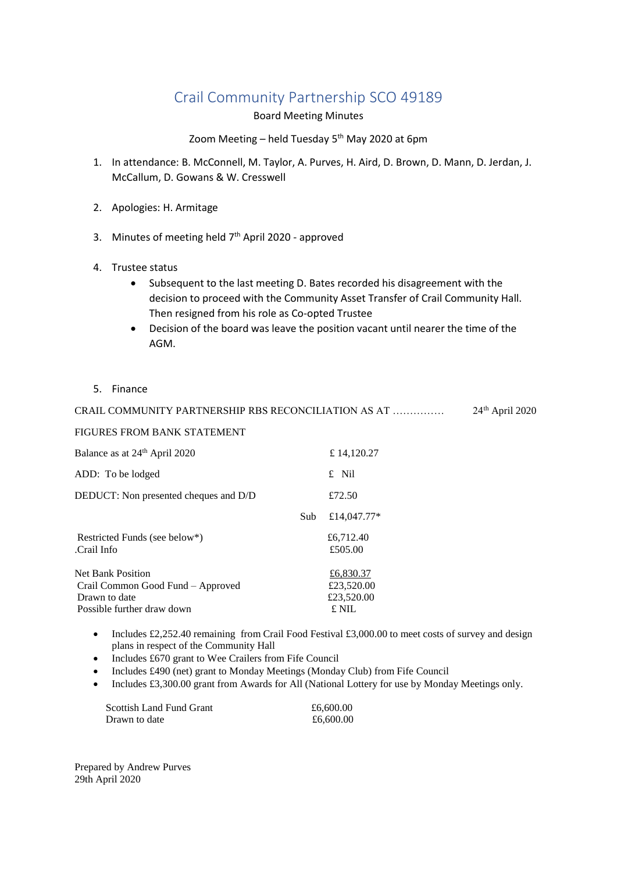## Crail Community Partnership SCO 49189

Board Meeting Minutes

## Zoom Meeting – held Tuesday 5<sup>th</sup> May 2020 at 6pm

- 1. In attendance: B. McConnell, M. Taylor, A. Purves, H. Aird, D. Brown, D. Mann, D. Jerdan, J. McCallum, D. Gowans & W. Cresswell
- 2. Apologies: H. Armitage
- 3. Minutes of meeting held  $7<sup>th</sup>$  April 2020 approved
- 4. Trustee status
	- Subsequent to the last meeting D. Bates recorded his disagreement with the decision to proceed with the Community Asset Transfer of Crail Community Hall. Then resigned from his role as Co-opted Trustee
	- Decision of the board was leave the position vacant until nearer the time of the AGM.
- 5. Finance

| CRAIL COMMUNITY PARTNERSHIP RBS RECONCILIATION AS AT | $24th$ April 2020 |
|------------------------------------------------------|-------------------|
| FIGURES FROM BANK STATEMENT                          |                   |

| Balance as at 24 <sup>th</sup> April 2020   |     | £14,120.27           |  |
|---------------------------------------------|-----|----------------------|--|
| ADD: To be lodged                           |     | £ Nil                |  |
| DEDUCT: Non presented cheques and D/D       |     | £72.50               |  |
|                                             | Sub | £14,047.77*          |  |
| Restricted Funds (see below*)<br>Crail Info |     | £6,712.40<br>£505.00 |  |
| <b>Net Bank Position</b>                    |     | £6,830.37            |  |
| Crail Common Good Fund – Approved           |     | £23,520.00           |  |
| Drawn to date                               |     | £23,520.00           |  |
| Possible further draw down                  |     | £ NIL                |  |

- Includes £2,252.40 remaining from Crail Food Festival £3,000.00 to meet costs of survey and design plans in respect of the Community Hall
- plans in respect of the Community rian<br>• Includes £670 grant to Wee Crailers from Fife Council
- Includes £490 (net) grant to Monday Meetings (Monday Club) from Fife Council
- Includes £3,300.00 grant from Awards for All (National Lottery for use by Monday Meetings only.

| <b>Scottish Land Fund Grant</b> | £6,600.00 |
|---------------------------------|-----------|
| Drawn to date                   | £6,600.00 |

Prepared by Andrew Purves 29th April 2020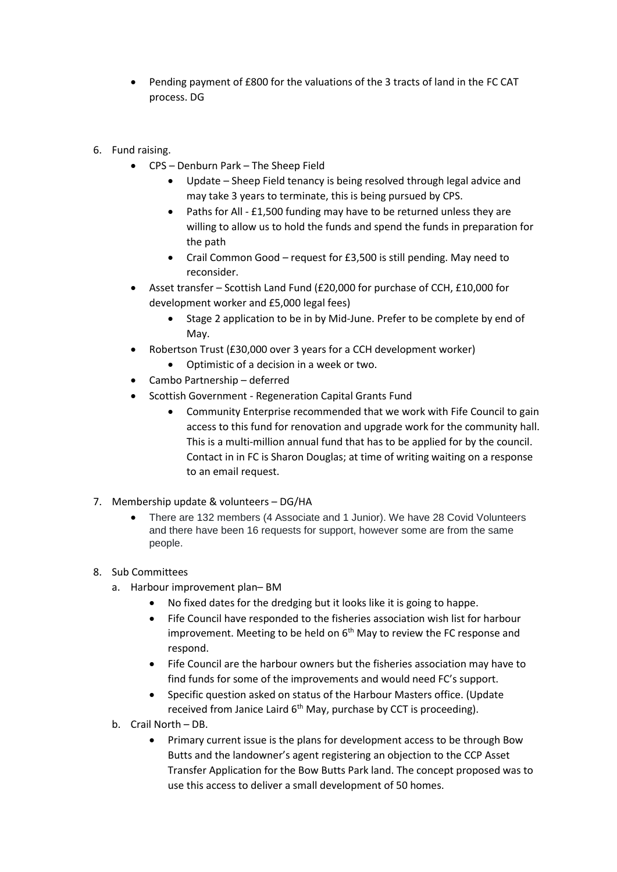- Pending payment of £800 for the valuations of the 3 tracts of land in the FC CAT process. DG
- 6. Fund raising.
	- CPS Denburn Park The Sheep Field
		- Update Sheep Field tenancy is being resolved through legal advice and may take 3 years to terminate, this is being pursued by CPS.
		- Paths for All £1,500 funding may have to be returned unless they are willing to allow us to hold the funds and spend the funds in preparation for the path
		- Crail Common Good request for £3,500 is still pending. May need to reconsider.
	- Asset transfer Scottish Land Fund (£20,000 for purchase of CCH, £10,000 for development worker and £5,000 legal fees)
		- Stage 2 application to be in by Mid-June. Prefer to be complete by end of May.
	- Robertson Trust (£30,000 over 3 years for a CCH development worker)
		- Optimistic of a decision in a week or two.
	- Cambo Partnership deferred
	- Scottish Government Regeneration Capital Grants Fund
		- Community Enterprise recommended that we work with Fife Council to gain access to this fund for renovation and upgrade work for the community hall. This is a multi-million annual fund that has to be applied for by the council. Contact in in FC is Sharon Douglas; at time of writing waiting on a response to an email request.
- 7. Membership update & volunteers DG/HA
	- There are 132 members (4 Associate and 1 Junior). We have 28 Covid Volunteers and there have been 16 requests for support, however some are from the same people.

## 8. Sub Committees

- a. Harbour improvement plan– BM
	- No fixed dates for the dredging but it looks like it is going to happe.
	- Fife Council have responded to the fisheries association wish list for harbour improvement. Meeting to be held on  $6<sup>th</sup>$  May to review the FC response and respond.
	- Fife Council are the harbour owners but the fisheries association may have to find funds for some of the improvements and would need FC's support.
	- Specific question asked on status of the Harbour Masters office. (Update received from Janice Laird 6<sup>th</sup> May, purchase by CCT is proceeding).
- b. Crail North DB.
	- Primary current issue is the plans for development access to be through Bow Butts and the landowner's agent registering an objection to the CCP Asset Transfer Application for the Bow Butts Park land. The concept proposed was to use this access to deliver a small development of 50 homes.